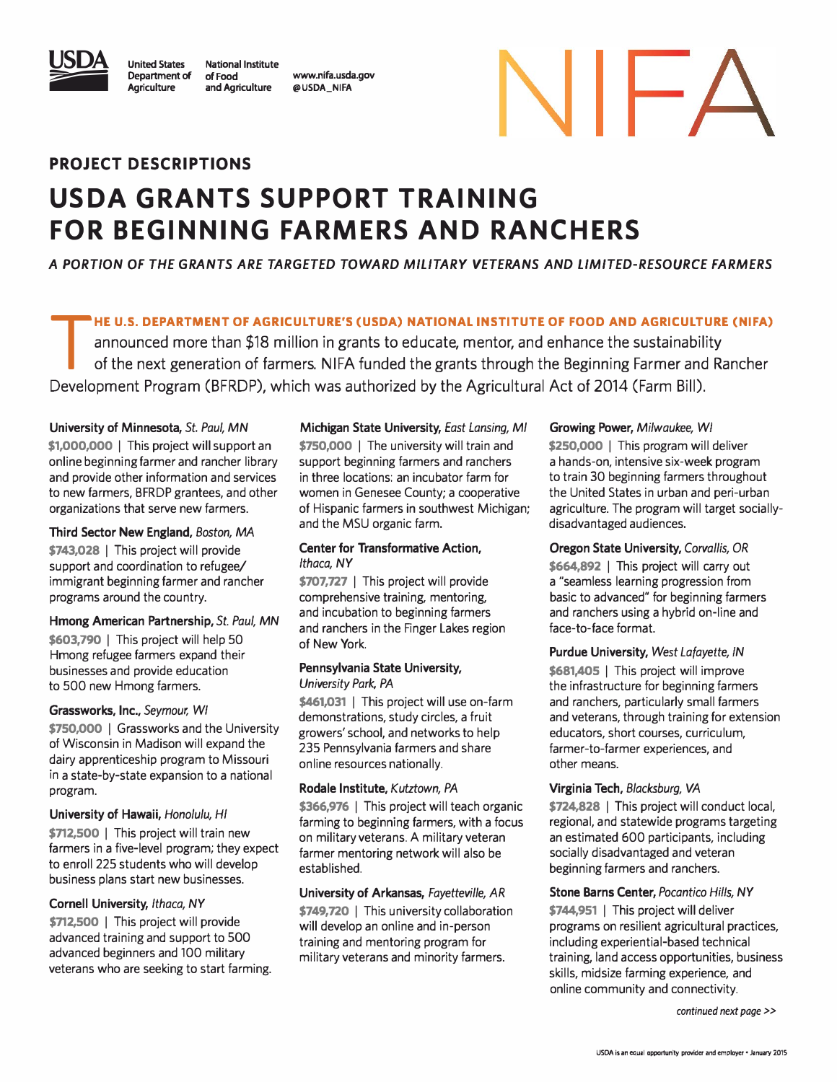

United States Department of Agriculture National Institute of Food and Agriculture

www.nifa.usda.gov @USDA\_NIFA

# NIFA

### PROJECT DESCRIPTIONS

# USDA GRANTS SUPPORT TRAINING FOR BEGINNING FARMERS AND RANCHERS

A PORTION OF THE GRANTS ARE TARGETED TOWARD MILITARY VETERANS AND LIMITED-RESOURCE FARMERS

HE U.S. DEPARTMENT OF AGRICULTURE'S (USDA) NATIONAL INSTITUTE OF FOOD AND AGRICULTURE (NIFA)

T announced more than \$18 million in grants to educate, mentor, and enhance the sustainability of the next generation of farmers. NIFA funded the grants through the Beginning Farmer and Rancher Development Program (BFRDP), which was authorized by the Agricultural Act of 2014 (Farm Bill).

#### University of Minnesota, St. Paul, MN

\$1,000,000 | This project will support an online beginning farmer and rancher library and provide other information and services to new farmers, BFRDP grantees, and other organizations that serve new farmers.

#### Third Sector New England, Boston, MA

\$743,028 | This project will provide support and coordination to refugee/ immigrant beginning farmer and rancher programs around the country.

#### Hmong American Partnership, St. Paul, MN \$603,790 | This project will help 50 Hmong refugee farmers expand their businesses and provide education to 500 new Hmong farmers.

#### Grassworks, Inc., Seymour; WI

\$750,000 | Grassworks and the University of Wisconsin in Madison will expand the dairy apprenticeship program to Missouri in a state-by-state expansion to a national program.

#### University of Hawaii, Honolulu, HI

\$712,500 | This project will train new farmers in a five-level program; they expect to enroll 225 students who will develop business plans start new businesses.

#### Cornell University, Ithaca, NY

\$712,500 | This project will provide advanced training and support to 500 advanced beginners and 100 military veterans who are seeking to start farming.

Michigan State University, East Lansing, Ml \$750,000 | The university will train and support beginning farmers and ranchers in three locations: an incubator farm for women in Genesee County; a cooperative of Hispanic farmers in southwest Michigan; and the MSU organic farm.

#### Center for Transformative Action, Ithaca, NY

\$707,727 | This project will provide comprehensive training, mentoring, and incubation to beginning farmers and ranchers in the Finger Lakes region of New York.

#### Pennsylvania State University, University Park, PA

\$461,031 | This project will use on-farm demonstrations, study circles, a fruit growers' school, and networks to help 235 Pennsylvania farmers and share online resources nationally.

#### Rodale Institute, Kutztown, PA

\$366,976 | This project will teach organic farming to beginning farmers, with a focus on military veterans. A military veteran farmer mentoring network will also be established.

#### University of Arkansas, Fayetteville, AR \$749,720 | This university collaboration will develop an online and in-person training and mentoring program for military veterans and minority farmers.

#### Growing Power, Milwaukee, WI

\$250,000 | This program will deliver a hands-on, intensive six-week program to train 30 beginning farmers throughout the United States in urban and peri-urban agriculture. The program will target sociallydisadvantaged audiences.

#### Oregon State University, Corvallis, OR \$664,892 I This project will carry out a "seamless learning progression from basic to advanced" for beginning farmers and ranchers using a hybrid on-line and face-to-face format.

#### Purdue University, West Lafayette, IN

\$681,405 | This project will improve the infrastructure for beginning farmers and ranchers, particularly small farmers and veterans, through training for extension educators, short courses, curriculum, farmer-to-farmer experiences, and other means.

#### Virginia Tech, Blacksburg, VA

\$724,828 | This project will conduct local, regional, and statewide programs targeting an estimated 600 participants, including socially disadvantaged and veteran beginning farmers and ranchers.

#### Stone Barns Center, Pocantico Hills, NY \$744,951 | This project will deliver programs on resilient agricultural practices, including experiential-based technical training, land access opportunities, business skills, midsize farming experience, and online community and connectivity.

continued next page>>